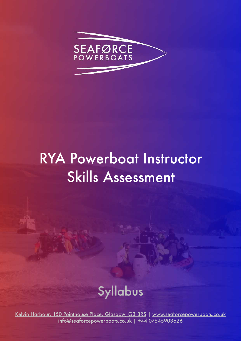

# RYA Powerboat Instructor Skills Assessment

## Syllabus

[Kelvin Harbour, 150 Pointhouse Place, Glasgow, G3 8RS](https://g.page/SeaforcePowerboats?share) | [www.seaforcepowerboats.co.uk](http://www.seaforcepowerboats.co.uk) [info@seaforcepowerboats.co.uk](mailto:info@seaforcepowerboats.co.uk) | +44 07545903626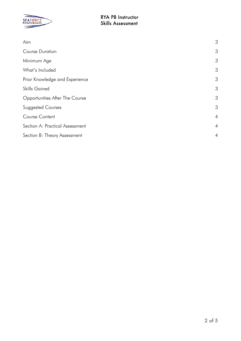

| Aim                             | 3              |
|---------------------------------|----------------|
| <b>Course Duration</b>          | 3              |
| Minimum Age                     | 3              |
| What's Included                 | 3              |
| Prior Knowledge and Experience  | 3              |
| <b>Skills Gained</b>            | 3              |
| Opportunities After The Course  | 3              |
| <b>Suggested Courses</b>        | 3              |
| Course Content                  | $\overline{4}$ |
| Section A: Practical Assessment | $\overline{4}$ |
| Section B: Theory Assessment    | $\overline{4}$ |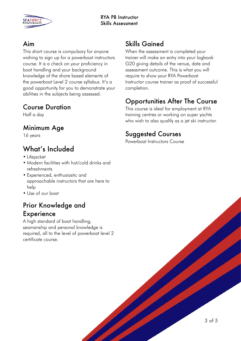

#### <span id="page-2-0"></span>Aim

This short course is compulsory for anyone wishing to sign up for a powerboat instructors course. It is a check on your proficiency in boat handling and your background knowledge of the shore based elements of the powerboat Level 2 course syllabus. It's a good opportunity for you to demonstrate your abilities in the subjects being assessed.

#### <span id="page-2-1"></span>Course Duration

Half a day

#### <span id="page-2-2"></span>Minimum Age

16 years

### <span id="page-2-3"></span>What's Included

- Lifejacket
- Modern facilities with hot/cold drinks and refreshments
- Experienced, enthusiastic and approachable instructors that are here to help
- Use of our boat

#### <span id="page-2-4"></span>Prior Knowledge and **Experience**

A high standard of boat handling, seamanship and personal knowledge is required, all to the level of powerboat level 2 certificate course.

#### <span id="page-2-5"></span>Skills Gained

When the assessment is completed your trainer will make an entry into your logbook G20 giving details of the venue, date and assessment outcome. This is what you will require to show your RYA Powerboat Instructor course trainer as proof of successful completion.

#### <span id="page-2-6"></span>Opportunities After The Course

This course is ideal for employment at RYA training centres or working on super yachts who wish to also qualify as a jet ski instructor.

#### <span id="page-2-7"></span>Suggested Courses

Powerboat Instructors Course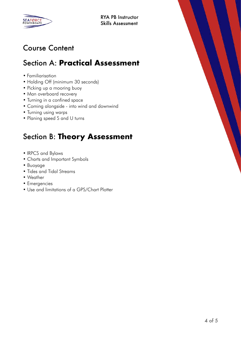

### <span id="page-3-0"></span>Course Content

## <span id="page-3-1"></span>Section A: **Practical Assessment**

- Familiarisation
- Holding Off (minimum 30 seconds)
- Picking up a mooring buoy
- Man overboard recovery
- Turning in a confined space
- Coming alongside into wind and downwind
- Turning using warps
- Planing speed S and U turns

## <span id="page-3-2"></span>Section B: **Theory Assessment**

- IRPCS and Bylaws
- Charts and Important Symbols
- Buoyage
- Tides and Tidal Streams
- Weather
- Emergencies
- Use and limitations of a GPS/Chart Plotter